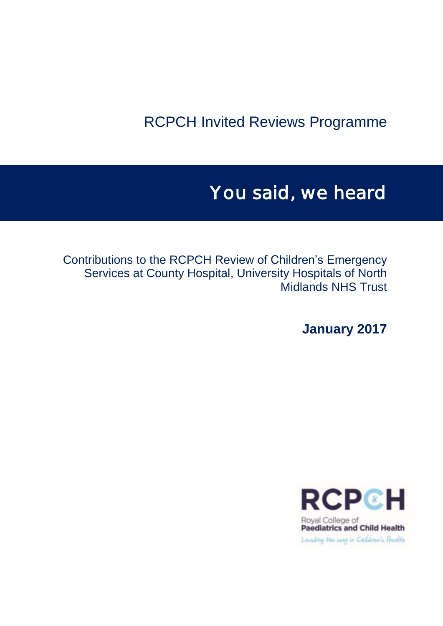## RCPCH Invited Reviews Programme

# You said, we heard

Contributions to the RCPCH Review of Children's Emergency Services at County Hospital, University Hospitals of North Midlands NHS Trust

**January 2017**

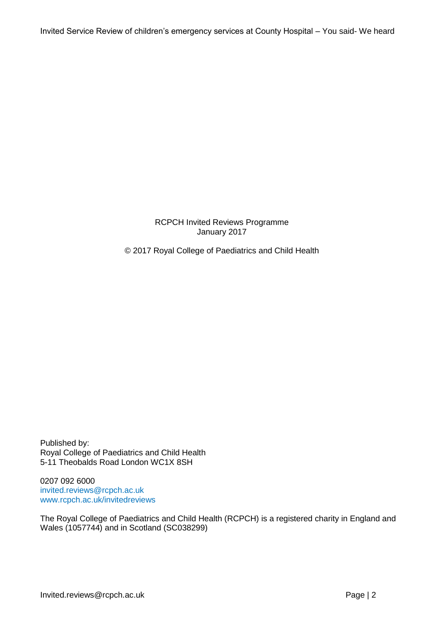RCPCH Invited Reviews Programme January 2017

© 2017 Royal College of Paediatrics and Child Health

Published by: Royal College of Paediatrics and Child Health 5-11 Theobalds Road London WC1X 8SH

0207 092 6000 [invited.reviews@rcpch.ac.uk](mailto:invited.reviews@rcpch.ac.uk) [www.rcpch.ac.uk/invitedreviews](http://www.rcpch.ac.uk/invitedreviews)

The Royal College of Paediatrics and Child Health (RCPCH) is a registered charity in England and Wales (1057744) and in Scotland (SC038299)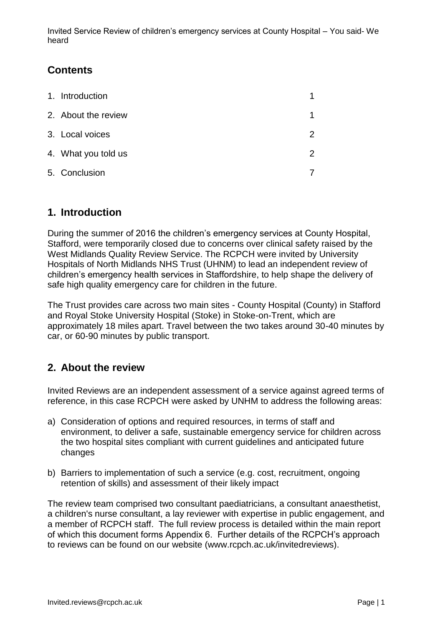## **Contents**

| 1. Introduction     |               |
|---------------------|---------------|
| 2. About the review |               |
| 3. Local voices     | $\mathcal{P}$ |
| 4. What you told us | $\mathcal{P}$ |
| 5. Conclusion       |               |

## <span id="page-2-0"></span>**1. Introduction**

During the summer of 2016 the children's emergency services at County Hospital, Stafford, were temporarily closed due to concerns over clinical safety raised by the West Midlands Quality Review Service. The RCPCH were invited by University Hospitals of North Midlands NHS Trust (UHNM) to lead an independent review of children's emergency health services in Staffordshire, to help shape the delivery of safe high quality emergency care for children in the future.

The Trust provides care across two main sites - County Hospital (County) in Stafford and Royal Stoke University Hospital (Stoke) in Stoke-on-Trent, which are approximately 18 miles apart. Travel between the two takes around 30-40 minutes by car, or 60-90 minutes by public transport.

## <span id="page-2-1"></span>**2. About the review**

Invited Reviews are an independent assessment of a service against agreed terms of reference, in this case RCPCH were asked by UNHM to address the following areas:

- a) Consideration of options and required resources, in terms of staff and environment, to deliver a safe, sustainable emergency service for children across the two hospital sites compliant with current guidelines and anticipated future changes
- b) Barriers to implementation of such a service (e.g. cost, recruitment, ongoing retention of skills) and assessment of their likely impact

The review team comprised two consultant paediatricians, a consultant anaesthetist, a children's nurse consultant, a lay reviewer with expertise in public engagement, and a member of RCPCH staff. The full review process is detailed within the main report of which this document forms Appendix 6. Further details of the RCPCH's approach to reviews can be found on our website (www.rcpch.ac.uk/invitedreviews).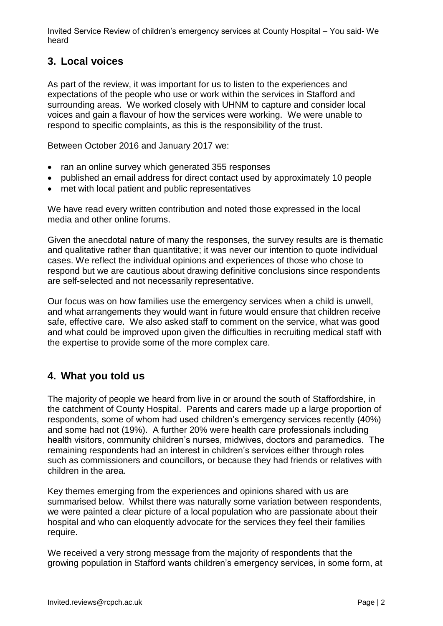## <span id="page-3-0"></span>**3. Local voices**

As part of the review, it was important for us to listen to the experiences and expectations of the people who use or work within the services in Stafford and surrounding areas. We worked closely with UHNM to capture and consider local voices and gain a flavour of how the services were working. We were unable to respond to specific complaints, as this is the responsibility of the trust.

Between October 2016 and January 2017 we:

- ran an online survey which generated 355 responses
- published an email address for direct contact used by approximately 10 people
- met with local patient and public representatives

We have read every written contribution and noted those expressed in the local media and other online forums.

Given the anecdotal nature of many the responses, the survey results are is thematic and qualitative rather than quantitative; it was never our intention to quote individual cases. We reflect the individual opinions and experiences of those who chose to respond but we are cautious about drawing definitive conclusions since respondents are self-selected and not necessarily representative.

Our focus was on how families use the emergency services when a child is unwell, and what arrangements they would want in future would ensure that children receive safe, effective care. We also asked staff to comment on the service, what was good and what could be improved upon given the difficulties in recruiting medical staff with the expertise to provide some of the more complex care.

## <span id="page-3-1"></span>**4. What you told us**

The majority of people we heard from live in or around the south of Staffordshire, in the catchment of County Hospital. Parents and carers made up a large proportion of respondents, some of whom had used children's emergency services recently (40%) and some had not (19%). A further 20% were health care professionals including health visitors, community children's nurses, midwives, doctors and paramedics. The remaining respondents had an interest in children's services either through roles such as commissioners and councillors, or because they had friends or relatives with children in the area.

Key themes emerging from the experiences and opinions shared with us are summarised below. Whilst there was naturally some variation between respondents, we were painted a clear picture of a local population who are passionate about their hospital and who can eloquently advocate for the services they feel their families require.

We received a very strong message from the majority of respondents that the growing population in Stafford wants children's emergency services, in some form, at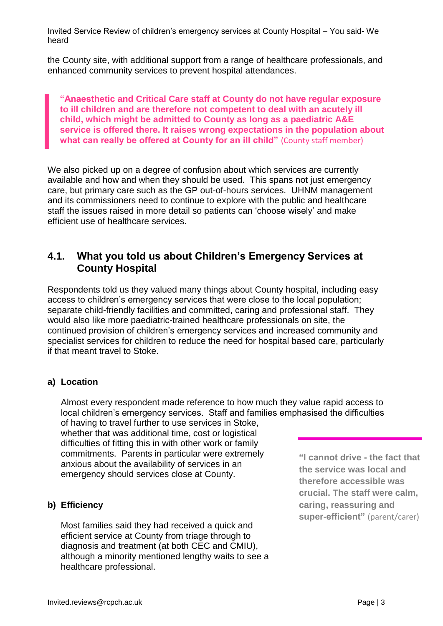the County site, with additional support from a range of healthcare professionals, and enhanced community services to prevent hospital attendances.

**"Anaesthetic and Critical Care staff at County do not have regular exposure to ill children and are therefore not competent to deal with an acutely ill child, which might be admitted to County as long as a paediatric A&E service is offered there. It raises wrong expectations in the population about what can really be offered at County for an ill child"** (County staff member)

We also picked up on a degree of confusion about which services are currently available and how and when they should be used. This spans not just emergency care, but primary care such as the GP out-of-hours services. UHNM management and its commissioners need to continue to explore with the public and healthcare staff the issues raised in more detail so patients can 'choose wisely' and make efficient use of healthcare services.

## **4.1. What you told us about Children's Emergency Services at County Hospital**

Respondents told us they valued many things about County hospital, including easy access to children's emergency services that were close to the local population; separate child-friendly facilities and committed, caring and professional staff. They would also like more paediatric-trained healthcare professionals on site, the continued provision of children's emergency services and increased community and specialist services for children to reduce the need for hospital based care, particularly if that meant travel to Stoke.

#### **a) Location**

Almost every respondent made reference to how much they value rapid access to local children's emergency services. Staff and families emphasised the difficulties of having to travel further to use services in Stoke,

whether that was additional time, cost or logistical difficulties of fitting this in with other work or family commitments. Parents in particular were extremely anxious about the availability of services in an emergency should services close at County.

#### **b) Efficiency**

Most families said they had received a quick and efficient service at County from triage through to diagnosis and treatment (at both CEC and CMIU), although a minority mentioned lengthy waits to see a healthcare professional.

**"I cannot drive - the fact that the service was local and therefore accessible was crucial. The staff were calm, caring, reassuring and super-efficient"** (parent/carer)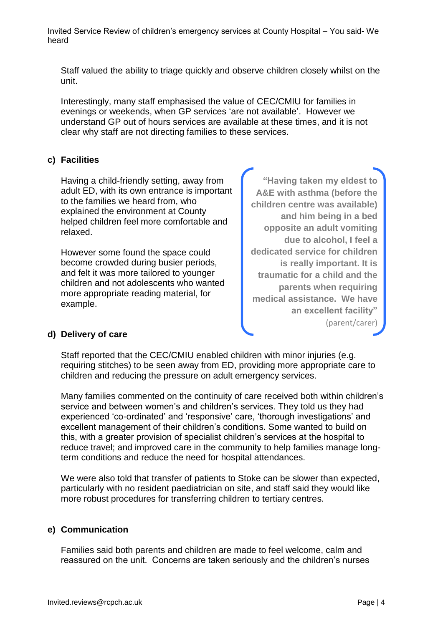Staff valued the ability to triage quickly and observe children closely whilst on the unit.

Interestingly, many staff emphasised the value of CEC/CMIU for families in evenings or weekends, when GP services 'are not available'. However we understand GP out of hours services are available at these times, and it is not clear why staff are not directing families to these services.

#### **c) Facilities**

Having a child-friendly setting, away from adult ED, with its own entrance is important to the families we heard from, who explained the environment at County helped children feel more comfortable and relaxed.

However some found the space could become crowded during busier periods, and felt it was more tailored to younger children and not adolescents who wanted more appropriate reading material, for example.

**"Having taken my eldest to A&E with asthma (before the children centre was available) and him being in a bed opposite an adult vomiting due to alcohol, I feel a dedicated service for children is really important. It is traumatic for a child and the parents when requiring medical assistance. We have an excellent facility"**  (parent/carer)

#### **d) Delivery of care**

Staff reported that the CEC/CMIU enabled children with minor injuries (e.g. requiring stitches) to be seen away from ED, providing more appropriate care to children and reducing the pressure on adult emergency services.

Many families commented on the continuity of care received both within children's service and between women's and children's services. They told us they had experienced 'co-ordinated' and 'responsive' care, 'thorough investigations' and excellent management of their children's conditions. Some wanted to build on this, with a greater provision of specialist children's services at the hospital to reduce travel; and improved care in the community to help families manage longterm conditions and reduce the need for hospital attendances.

We were also told that transfer of patients to Stoke can be slower than expected, particularly with no resident paediatrician on site, and staff said they would like more robust procedures for transferring children to tertiary centres.

#### **e) Communication**

Families said both parents and children are made to feel welcome, calm and reassured on the unit. Concerns are taken seriously and the children's nurses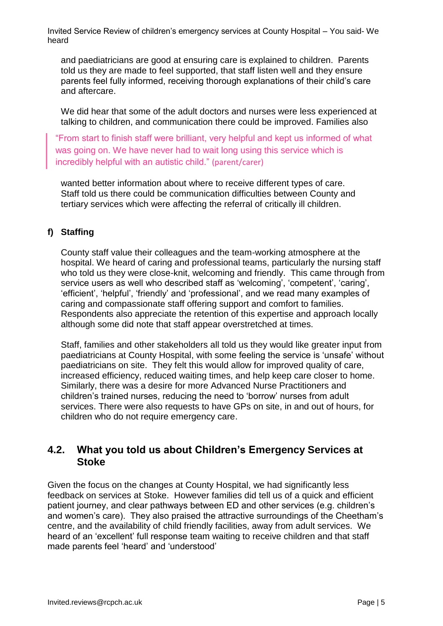and paediatricians are good at ensuring care is explained to children. Parents told us they are made to feel supported, that staff listen well and they ensure parents feel fully informed, receiving thorough explanations of their child's care and aftercare.

We did hear that some of the adult doctors and nurses were less experienced at talking to children, and communication there could be improved. Families also

"From start to finish staff were brilliant, very helpful and kept us informed of what was going on. We have never had to wait long using this service which is incredibly helpful with an autistic child." (parent/carer)

wanted better information about where to receive different types of care. Staff told us there could be communication difficulties between County and tertiary services which were affecting the referral of critically ill children.

#### **f) Staffing**

County staff value their colleagues and the team-working atmosphere at the hospital. We heard of caring and professional teams, particularly the nursing staff who told us they were close-knit, welcoming and friendly. This came through from service users as well who described staff as 'welcoming', 'competent', 'caring', 'efficient', 'helpful', 'friendly' and 'professional', and we read many examples of caring and compassionate staff offering support and comfort to families. Respondents also appreciate the retention of this expertise and approach locally although some did note that staff appear overstretched at times.

Staff, families and other stakeholders all told us they would like greater input from paediatricians at County Hospital, with some feeling the service is 'unsafe' without paediatricians on site. They felt this would allow for improved quality of care, increased efficiency, reduced waiting times, and help keep care closer to home. Similarly, there was a desire for more Advanced Nurse Practitioners and children's trained nurses, reducing the need to 'borrow' nurses from adult services. There were also requests to have GPs on site, in and out of hours, for children who do not require emergency care.

## **4.2. What you told us about Children's Emergency Services at Stoke**

Given the focus on the changes at County Hospital, we had significantly less feedback on services at Stoke. However families did tell us of a quick and efficient patient journey, and clear pathways between ED and other services (e.g. children's and women's care). They also praised the attractive surroundings of the Cheetham's centre, and the availability of child friendly facilities, away from adult services. We heard of an 'excellent' full response team waiting to receive children and that staff made parents feel 'heard' and 'understood'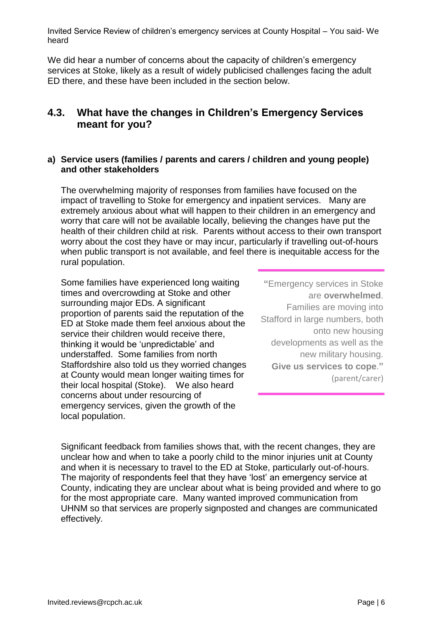We did hear a number of concerns about the capacity of children's emergency services at Stoke, likely as a result of widely publicised challenges facing the adult ED there, and these have been included in the section below.

## **4.3. What have the changes in Children's Emergency Services meant for you?**

#### **a) Service users (families / parents and carers / children and young people) and other stakeholders**

The overwhelming majority of responses from families have focused on the impact of travelling to Stoke for emergency and inpatient services. Many are extremely anxious about what will happen to their children in an emergency and worry that care will not be available locally, believing the changes have put the health of their children child at risk. Parents without access to their own transport worry about the cost they have or may incur, particularly if travelling out-of-hours when public transport is not available, and feel there is inequitable access for the rural population.

Some families have experienced long waiting times and overcrowding at Stoke and other surrounding major EDs. A significant proportion of parents said the reputation of the ED at Stoke made them feel anxious about the service their children would receive there, thinking it would be 'unpredictable' and understaffed. Some families from north Staffordshire also told us they worried changes at County would mean longer waiting times for their local hospital (Stoke). We also heard concerns about under resourcing of emergency services, given the growth of the local population.

**"**Emergency services in Stoke are **overwhelmed**. Families are moving into Stafford in large numbers, both onto new housing developments as well as the new military housing. **Give us services to cope**.**"** (parent/carer)

Significant feedback from families shows that, with the recent changes, they are unclear how and when to take a poorly child to the minor injuries unit at County and when it is necessary to travel to the ED at Stoke, particularly out-of-hours. The majority of respondents feel that they have 'lost' an emergency service at County, indicating they are unclear about what is being provided and where to go for the most appropriate care. Many wanted improved communication from UHNM so that services are properly signposted and changes are communicated effectively.